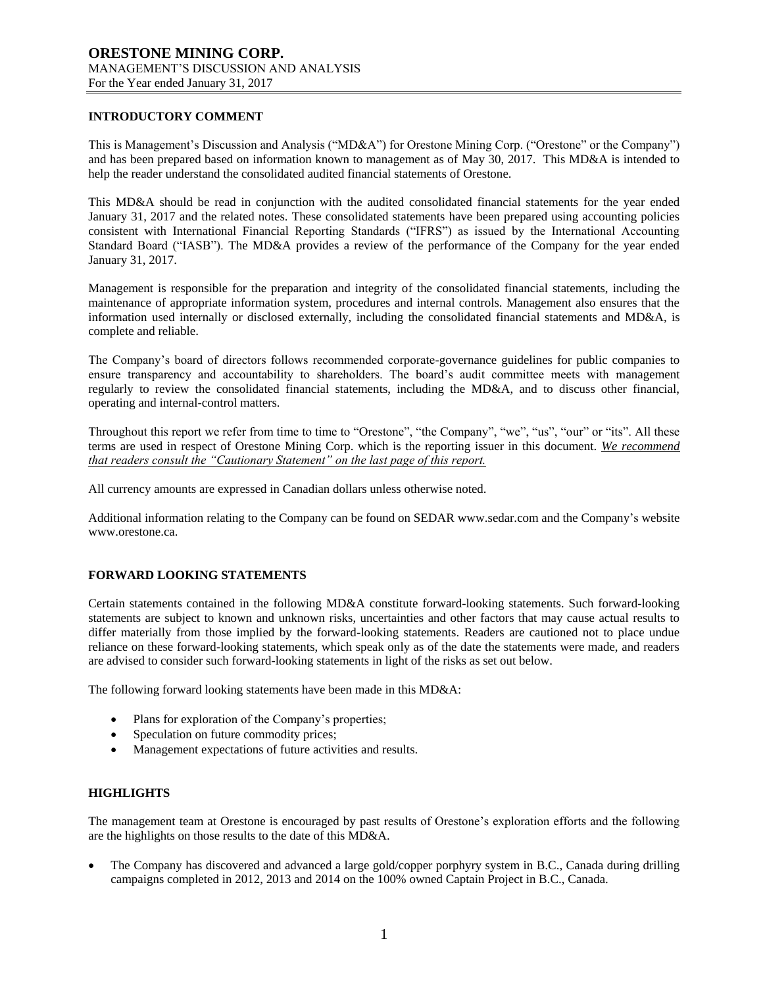## **INTRODUCTORY COMMENT**

This is Management's Discussion and Analysis ("MD&A") for Orestone Mining Corp. ("Orestone" or the Company") and has been prepared based on information known to management as of May 30, 2017. This MD&A is intended to help the reader understand the consolidated audited financial statements of Orestone.

This MD&A should be read in conjunction with the audited consolidated financial statements for the year ended January 31, 2017 and the related notes. These consolidated statements have been prepared using accounting policies consistent with International Financial Reporting Standards ("IFRS") as issued by the International Accounting Standard Board ("IASB"). The MD&A provides a review of the performance of the Company for the year ended January 31, 2017.

Management is responsible for the preparation and integrity of the consolidated financial statements, including the maintenance of appropriate information system, procedures and internal controls. Management also ensures that the information used internally or disclosed externally, including the consolidated financial statements and MD&A, is complete and reliable.

The Company's board of directors follows recommended corporate-governance guidelines for public companies to ensure transparency and accountability to shareholders. The board's audit committee meets with management regularly to review the consolidated financial statements, including the MD&A, and to discuss other financial, operating and internal-control matters.

Throughout this report we refer from time to time to "Orestone", "the Company", "we", "us", "our" or "its". All these terms are used in respect of Orestone Mining Corp. which is the reporting issuer in this document. *We recommend that readers consult the "Cautionary Statement" on the last page of this report.*

All currency amounts are expressed in Canadian dollars unless otherwise noted.

Additional information relating to the Company can be found on SEDAR www.sedar.com and the Company's website www.orestone.ca.

# **FORWARD LOOKING STATEMENTS**

Certain statements contained in the following MD&A constitute forward-looking statements. Such forward-looking statements are subject to known and unknown risks, uncertainties and other factors that may cause actual results to differ materially from those implied by the forward-looking statements. Readers are cautioned not to place undue reliance on these forward-looking statements, which speak only as of the date the statements were made, and readers are advised to consider such forward-looking statements in light of the risks as set out below.

The following forward looking statements have been made in this MD&A:

- Plans for exploration of the Company's properties;
- Speculation on future commodity prices;
- Management expectations of future activities and results.

## **HIGHLIGHTS**

The management team at Orestone is encouraged by past results of Orestone's exploration efforts and the following are the highlights on those results to the date of this MD&A.

 The Company has discovered and advanced a large gold/copper porphyry system in B.C., Canada during drilling campaigns completed in 2012, 2013 and 2014 on the 100% owned Captain Project in B.C., Canada.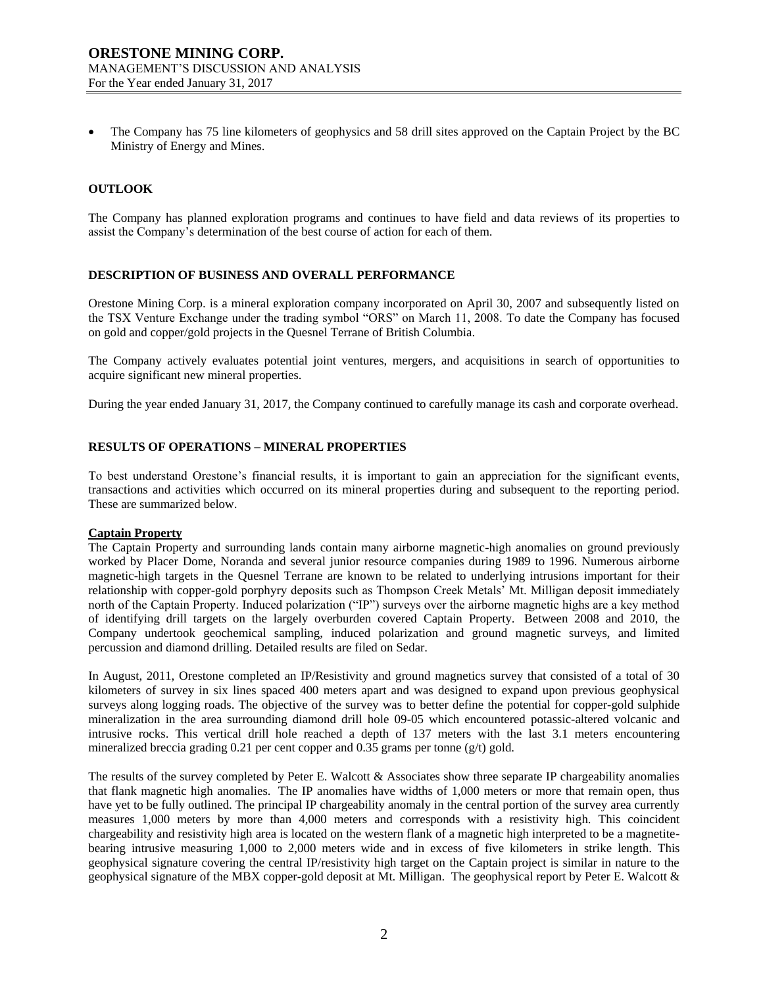The Company has 75 line kilometers of geophysics and 58 drill sites approved on the Captain Project by the BC Ministry of Energy and Mines.

## **OUTLOOK**

The Company has planned exploration programs and continues to have field and data reviews of its properties to assist the Company's determination of the best course of action for each of them.

### **DESCRIPTION OF BUSINESS AND OVERALL PERFORMANCE**

Orestone Mining Corp. is a mineral exploration company incorporated on April 30, 2007 and subsequently listed on the TSX Venture Exchange under the trading symbol "ORS" on March 11, 2008. To date the Company has focused on gold and copper/gold projects in the Quesnel Terrane of British Columbia.

The Company actively evaluates potential joint ventures, mergers, and acquisitions in search of opportunities to acquire significant new mineral properties.

During the year ended January 31, 2017, the Company continued to carefully manage its cash and corporate overhead.

### **RESULTS OF OPERATIONS – MINERAL PROPERTIES**

To best understand Orestone's financial results, it is important to gain an appreciation for the significant events, transactions and activities which occurred on its mineral properties during and subsequent to the reporting period. These are summarized below.

### **Captain Property**

The Captain Property and surrounding lands contain many airborne magnetic-high anomalies on ground previously worked by Placer Dome, Noranda and several junior resource companies during 1989 to 1996. Numerous airborne magnetic-high targets in the Quesnel Terrane are known to be related to underlying intrusions important for their relationship with copper-gold porphyry deposits such as Thompson Creek Metals' Mt. Milligan deposit immediately north of the Captain Property. Induced polarization ("IP") surveys over the airborne magnetic highs are a key method of identifying drill targets on the largely overburden covered Captain Property. Between 2008 and 2010, the Company undertook geochemical sampling, induced polarization and ground magnetic surveys, and limited percussion and diamond drilling. Detailed results are filed on Sedar.

In August, 2011, Orestone completed an IP/Resistivity and ground magnetics survey that consisted of a total of 30 kilometers of survey in six lines spaced 400 meters apart and was designed to expand upon previous geophysical surveys along logging roads. The objective of the survey was to better define the potential for copper-gold sulphide mineralization in the area surrounding diamond drill hole 09-05 which encountered potassic-altered volcanic and intrusive rocks. This vertical drill hole reached a depth of 137 meters with the last 3.1 meters encountering mineralized breccia grading 0.21 per cent copper and 0.35 grams per tonne  $(g/t)$  gold.

The results of the survey completed by Peter E. Walcott & Associates show three separate IP chargeability anomalies that flank magnetic high anomalies. The IP anomalies have widths of 1,000 meters or more that remain open, thus have yet to be fully outlined. The principal IP chargeability anomaly in the central portion of the survey area currently measures 1,000 meters by more than 4,000 meters and corresponds with a resistivity high. This coincident chargeability and resistivity high area is located on the western flank of a magnetic high interpreted to be a magnetitebearing intrusive measuring 1,000 to 2,000 meters wide and in excess of five kilometers in strike length. This geophysical signature covering the central IP/resistivity high target on the Captain project is similar in nature to the geophysical signature of the MBX copper-gold deposit at Mt. Milligan. The geophysical report by Peter E. Walcott &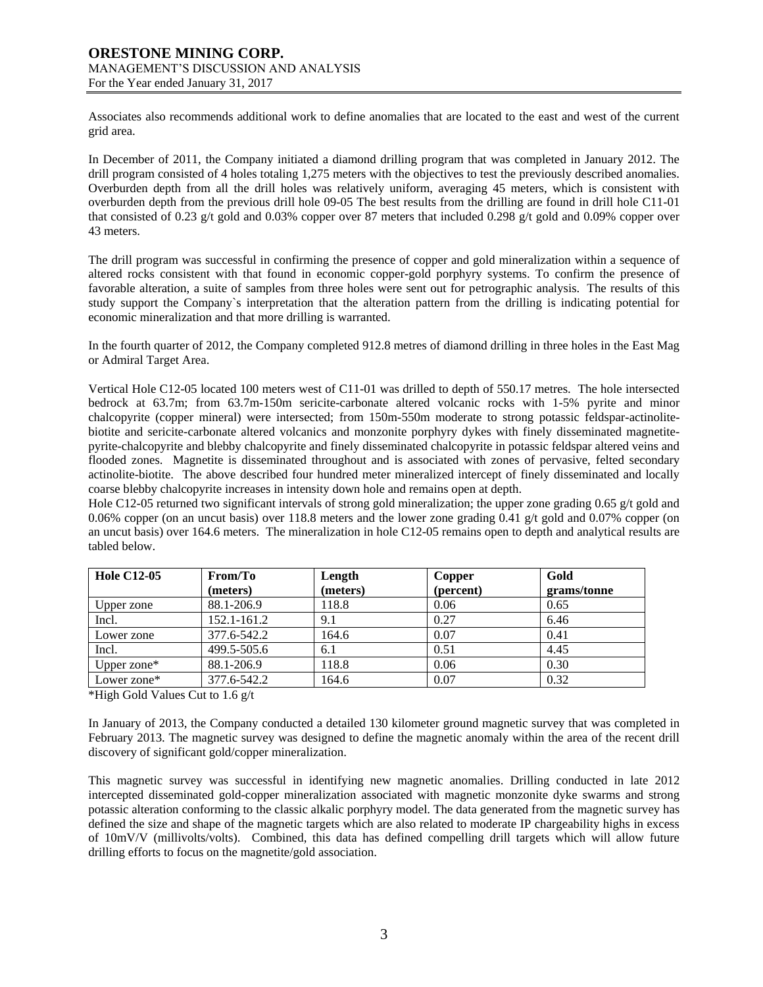Associates also recommends additional work to define anomalies that are located to the east and west of the current grid area.

In December of 2011, the Company initiated a diamond drilling program that was completed in January 2012. The drill program consisted of 4 holes totaling 1,275 meters with the objectives to test the previously described anomalies. Overburden depth from all the drill holes was relatively uniform, averaging 45 meters, which is consistent with overburden depth from the previous drill hole 09-05 The best results from the drilling are found in drill hole C11-01 that consisted of 0.23 g/t gold and 0.03% copper over 87 meters that included 0.298 g/t gold and 0.09% copper over 43 meters.

The drill program was successful in confirming the presence of copper and gold mineralization within a sequence of altered rocks consistent with that found in economic copper-gold porphyry systems. To confirm the presence of favorable alteration, a suite of samples from three holes were sent out for petrographic analysis. The results of this study support the Company`s interpretation that the alteration pattern from the drilling is indicating potential for economic mineralization and that more drilling is warranted.

In the fourth quarter of 2012, the Company completed 912.8 metres of diamond drilling in three holes in the East Mag or Admiral Target Area.

Vertical Hole C12-05 located 100 meters west of C11-01 was drilled to depth of 550.17 metres. The hole intersected bedrock at 63.7m; from 63.7m-150m sericite-carbonate altered volcanic rocks with 1-5% pyrite and minor chalcopyrite (copper mineral) were intersected; from 150m-550m moderate to strong potassic feldspar-actinolitebiotite and sericite-carbonate altered volcanics and monzonite porphyry dykes with finely disseminated magnetitepyrite-chalcopyrite and blebby chalcopyrite and finely disseminated chalcopyrite in potassic feldspar altered veins and flooded zones. Magnetite is disseminated throughout and is associated with zones of pervasive, felted secondary actinolite-biotite. The above described four hundred meter mineralized intercept of finely disseminated and locally coarse blebby chalcopyrite increases in intensity down hole and remains open at depth.

Hole C12-05 returned two significant intervals of strong gold mineralization; the upper zone grading 0.65  $g/t$  gold and 0.06% copper (on an uncut basis) over 118.8 meters and the lower zone grading 0.41 g/t gold and 0.07% copper (on an uncut basis) over 164.6 meters. The mineralization in hole C12-05 remains open to depth and analytical results are tabled below.

| <b>Hole C12-05</b> | From/To     | Length   | Copper    | Gold        |
|--------------------|-------------|----------|-----------|-------------|
|                    | (meters)    | (meters) | (percent) | grams/tonne |
| Upper zone         | 88.1-206.9  | 118.8    | 0.06      | 0.65        |
| Incl.              | 152.1-161.2 | 9.1      | 0.27      | 6.46        |
| Lower zone         | 377.6-542.2 | 164.6    | 0.07      | 0.41        |
| Incl.              | 499.5-505.6 | 6.1      | 0.51      | 4.45        |
| Upper zone $*$     | 88.1-206.9  | 118.8    | 0.06      | 0.30        |
| Lower zone*        | 377.6-542.2 | 164.6    | 0.07      | 0.32        |

\*High Gold Values Cut to 1.6 g/t

In January of 2013, the Company conducted a detailed 130 kilometer ground magnetic survey that was completed in February 2013. The magnetic survey was designed to define the magnetic anomaly within the area of the recent drill discovery of significant gold/copper mineralization.

This magnetic survey was successful in identifying new magnetic anomalies. Drilling conducted in late 2012 intercepted disseminated gold-copper mineralization associated with magnetic monzonite dyke swarms and strong potassic alteration conforming to the classic alkalic porphyry model. The data generated from the magnetic survey has defined the size and shape of the magnetic targets which are also related to moderate IP chargeability highs in excess of 10mV/V (millivolts/volts). Combined, this data has defined compelling drill targets which will allow future drilling efforts to focus on the magnetite/gold association.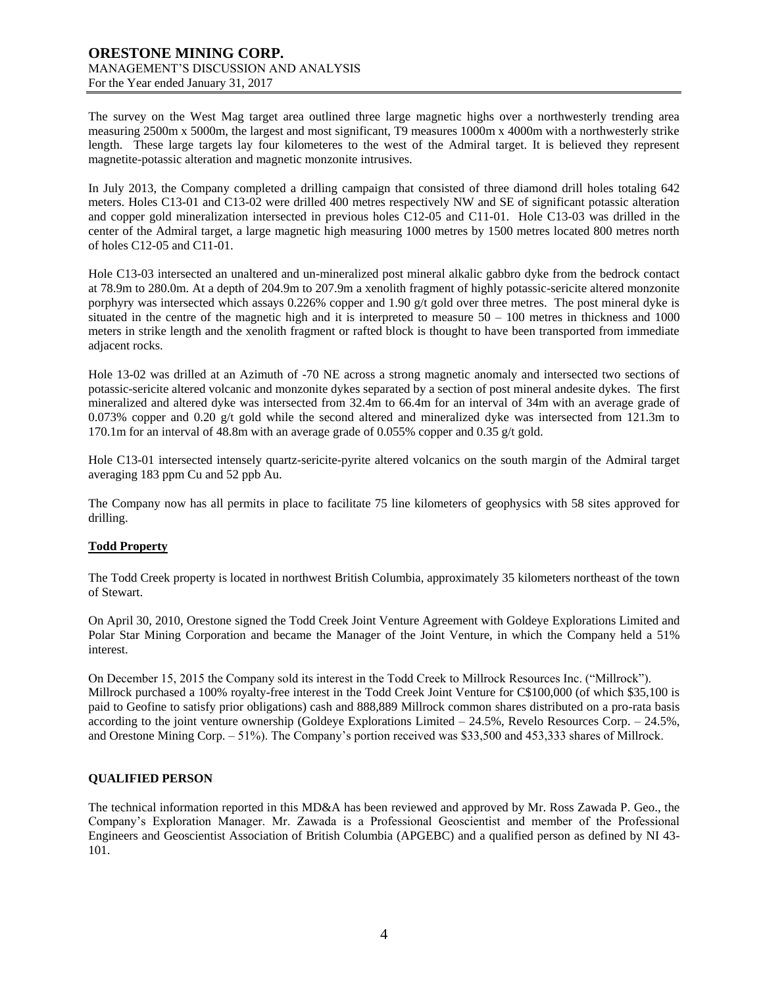The survey on the West Mag target area outlined three large magnetic highs over a northwesterly trending area measuring 2500m x 5000m, the largest and most significant, T9 measures 1000m x 4000m with a northwesterly strike length. These large targets lay four kilometeres to the west of the Admiral target. It is believed they represent magnetite-potassic alteration and magnetic monzonite intrusives.

In July 2013, the Company completed a drilling campaign that consisted of three diamond drill holes totaling 642 meters. Holes C13-01 and C13-02 were drilled 400 metres respectively NW and SE of significant potassic alteration and copper gold mineralization intersected in previous holes C12-05 and C11-01. Hole C13-03 was drilled in the center of the Admiral target, a large magnetic high measuring 1000 metres by 1500 metres located 800 metres north of holes C12-05 and C11-01.

Hole C13-03 intersected an unaltered and un-mineralized post mineral alkalic gabbro dyke from the bedrock contact at 78.9m to 280.0m. At a depth of 204.9m to 207.9m a xenolith fragment of highly potassic-sericite altered monzonite porphyry was intersected which assays 0.226% copper and 1.90 g/t gold over three metres. The post mineral dyke is situated in the centre of the magnetic high and it is interpreted to measure  $50 - 100$  metres in thickness and 1000 meters in strike length and the xenolith fragment or rafted block is thought to have been transported from immediate adjacent rocks.

Hole 13-02 was drilled at an Azimuth of -70 NE across a strong magnetic anomaly and intersected two sections of potassic-sericite altered volcanic and monzonite dykes separated by a section of post mineral andesite dykes. The first mineralized and altered dyke was intersected from 32.4m to 66.4m for an interval of 34m with an average grade of 0.073% copper and 0.20 g/t gold while the second altered and mineralized dyke was intersected from 121.3m to 170.1m for an interval of 48.8m with an average grade of 0.055% copper and 0.35 g/t gold.

Hole C13-01 intersected intensely quartz-sericite-pyrite altered volcanics on the south margin of the Admiral target averaging 183 ppm Cu and 52 ppb Au.

The Company now has all permits in place to facilitate 75 line kilometers of geophysics with 58 sites approved for drilling.

## **Todd Property**

The Todd Creek property is located in northwest British Columbia, approximately 35 kilometers northeast of the town of Stewart.

On April 30, 2010, Orestone signed the Todd Creek Joint Venture Agreement with Goldeye Explorations Limited and Polar Star Mining Corporation and became the Manager of the Joint Venture, in which the Company held a 51% interest.

On December 15, 2015 the Company sold its interest in the Todd Creek to Millrock Resources Inc. ("Millrock"). Millrock purchased a 100% royalty-free interest in the Todd Creek Joint Venture for C\$100,000 (of which \$35,100 is paid to Geofine to satisfy prior obligations) cash and 888,889 Millrock common shares distributed on a pro-rata basis according to the joint venture ownership (Goldeye Explorations Limited  $-24.5\%$ , Revelo Resources Corp.  $-24.5\%$ , and Orestone Mining Corp. – 51%). The Company's portion received was \$33,500 and 453,333 shares of Millrock.

## **QUALIFIED PERSON**

The technical information reported in this MD&A has been reviewed and approved by Mr. Ross Zawada P. Geo., the Company's Exploration Manager. Mr. Zawada is a Professional Geoscientist and member of the Professional Engineers and Geoscientist Association of British Columbia (APGEBC) and a qualified person as defined by NI 43- 101.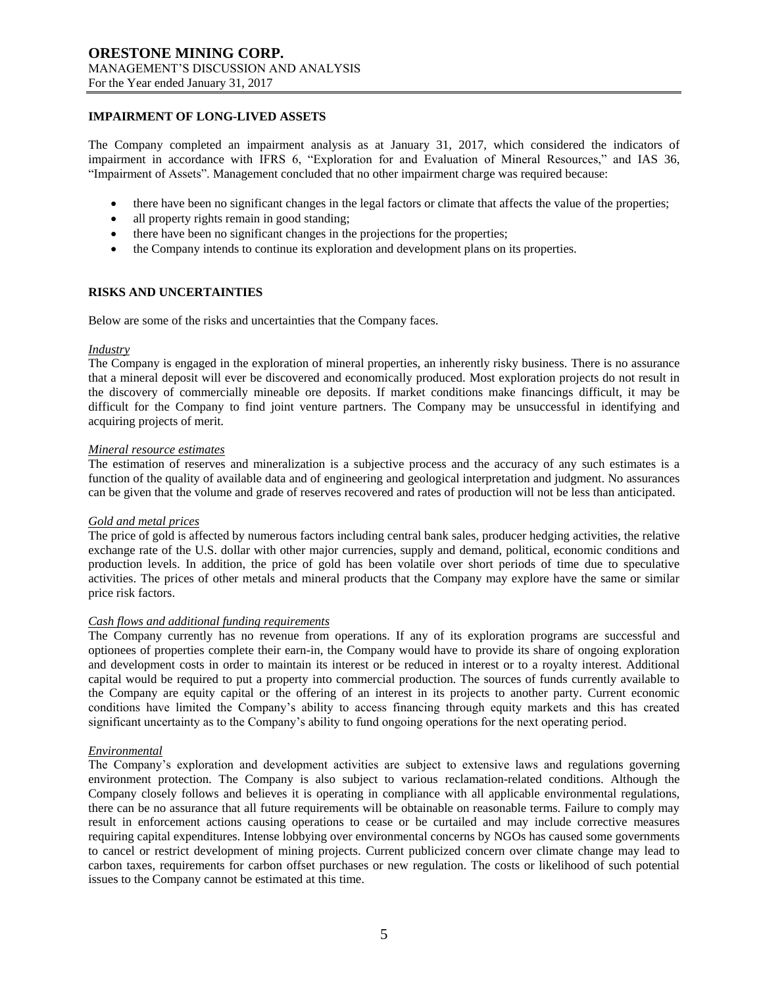## **IMPAIRMENT OF LONG-LIVED ASSETS**

The Company completed an impairment analysis as at January 31, 2017, which considered the indicators of impairment in accordance with IFRS 6, "Exploration for and Evaluation of Mineral Resources," and IAS 36, "Impairment of Assets". Management concluded that no other impairment charge was required because:

- there have been no significant changes in the legal factors or climate that affects the value of the properties;
- all property rights remain in good standing;
- there have been no significant changes in the projections for the properties;
- the Company intends to continue its exploration and development plans on its properties.

### **RISKS AND UNCERTAINTIES**

Below are some of the risks and uncertainties that the Company faces.

### *Industry*

The Company is engaged in the exploration of mineral properties, an inherently risky business. There is no assurance that a mineral deposit will ever be discovered and economically produced. Most exploration projects do not result in the discovery of commercially mineable ore deposits. If market conditions make financings difficult, it may be difficult for the Company to find joint venture partners. The Company may be unsuccessful in identifying and acquiring projects of merit.

### *Mineral resource estimates*

The estimation of reserves and mineralization is a subjective process and the accuracy of any such estimates is a function of the quality of available data and of engineering and geological interpretation and judgment. No assurances can be given that the volume and grade of reserves recovered and rates of production will not be less than anticipated.

### *Gold and metal prices*

The price of gold is affected by numerous factors including central bank sales, producer hedging activities, the relative exchange rate of the U.S. dollar with other major currencies, supply and demand, political, economic conditions and production levels. In addition, the price of gold has been volatile over short periods of time due to speculative activities. The prices of other metals and mineral products that the Company may explore have the same or similar price risk factors.

### *Cash flows and additional funding requirements*

The Company currently has no revenue from operations. If any of its exploration programs are successful and optionees of properties complete their earn-in, the Company would have to provide its share of ongoing exploration and development costs in order to maintain its interest or be reduced in interest or to a royalty interest. Additional capital would be required to put a property into commercial production. The sources of funds currently available to the Company are equity capital or the offering of an interest in its projects to another party. Current economic conditions have limited the Company's ability to access financing through equity markets and this has created significant uncertainty as to the Company's ability to fund ongoing operations for the next operating period.

### *Environmental*

The Company's exploration and development activities are subject to extensive laws and regulations governing environment protection. The Company is also subject to various reclamation-related conditions. Although the Company closely follows and believes it is operating in compliance with all applicable environmental regulations, there can be no assurance that all future requirements will be obtainable on reasonable terms. Failure to comply may result in enforcement actions causing operations to cease or be curtailed and may include corrective measures requiring capital expenditures. Intense lobbying over environmental concerns by NGOs has caused some governments to cancel or restrict development of mining projects. Current publicized concern over climate change may lead to carbon taxes, requirements for carbon offset purchases or new regulation. The costs or likelihood of such potential issues to the Company cannot be estimated at this time.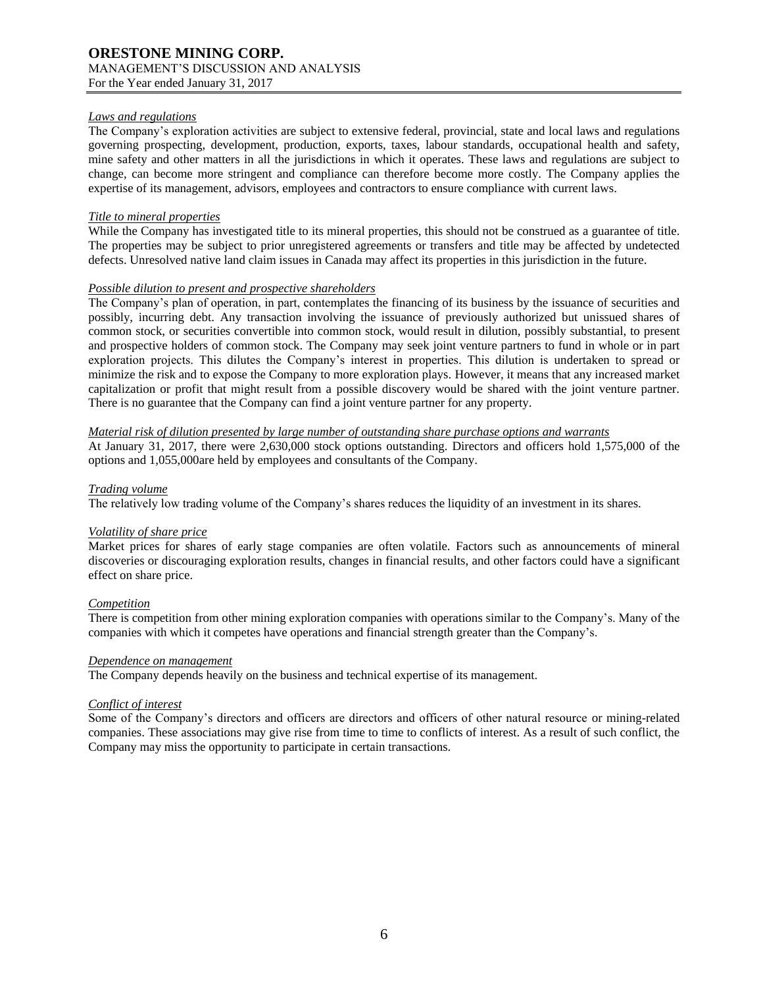## *Laws and regulations*

The Company's exploration activities are subject to extensive federal, provincial, state and local laws and regulations governing prospecting, development, production, exports, taxes, labour standards, occupational health and safety, mine safety and other matters in all the jurisdictions in which it operates. These laws and regulations are subject to change, can become more stringent and compliance can therefore become more costly. The Company applies the expertise of its management, advisors, employees and contractors to ensure compliance with current laws.

### *Title to mineral properties*

While the Company has investigated title to its mineral properties, this should not be construed as a guarantee of title. The properties may be subject to prior unregistered agreements or transfers and title may be affected by undetected defects. Unresolved native land claim issues in Canada may affect its properties in this jurisdiction in the future.

### *Possible dilution to present and prospective shareholders*

The Company's plan of operation, in part, contemplates the financing of its business by the issuance of securities and possibly, incurring debt. Any transaction involving the issuance of previously authorized but unissued shares of common stock, or securities convertible into common stock, would result in dilution, possibly substantial, to present and prospective holders of common stock. The Company may seek joint venture partners to fund in whole or in part exploration projects. This dilutes the Company's interest in properties. This dilution is undertaken to spread or minimize the risk and to expose the Company to more exploration plays. However, it means that any increased market capitalization or profit that might result from a possible discovery would be shared with the joint venture partner. There is no guarantee that the Company can find a joint venture partner for any property.

## *Material risk of dilution presented by large number of outstanding share purchase options and warrants*

At January 31, 2017, there were 2,630,000 stock options outstanding. Directors and officers hold 1,575,000 of the options and 1,055,000are held by employees and consultants of the Company.

### *Trading volume*

The relatively low trading volume of the Company's shares reduces the liquidity of an investment in its shares.

### *Volatility of share price*

Market prices for shares of early stage companies are often volatile. Factors such as announcements of mineral discoveries or discouraging exploration results, changes in financial results, and other factors could have a significant effect on share price.

### *Competition*

There is competition from other mining exploration companies with operations similar to the Company's. Many of the companies with which it competes have operations and financial strength greater than the Company's.

### *Dependence on management*

The Company depends heavily on the business and technical expertise of its management.

### *Conflict of interest*

Some of the Company's directors and officers are directors and officers of other natural resource or mining-related companies. These associations may give rise from time to time to conflicts of interest. As a result of such conflict, the Company may miss the opportunity to participate in certain transactions.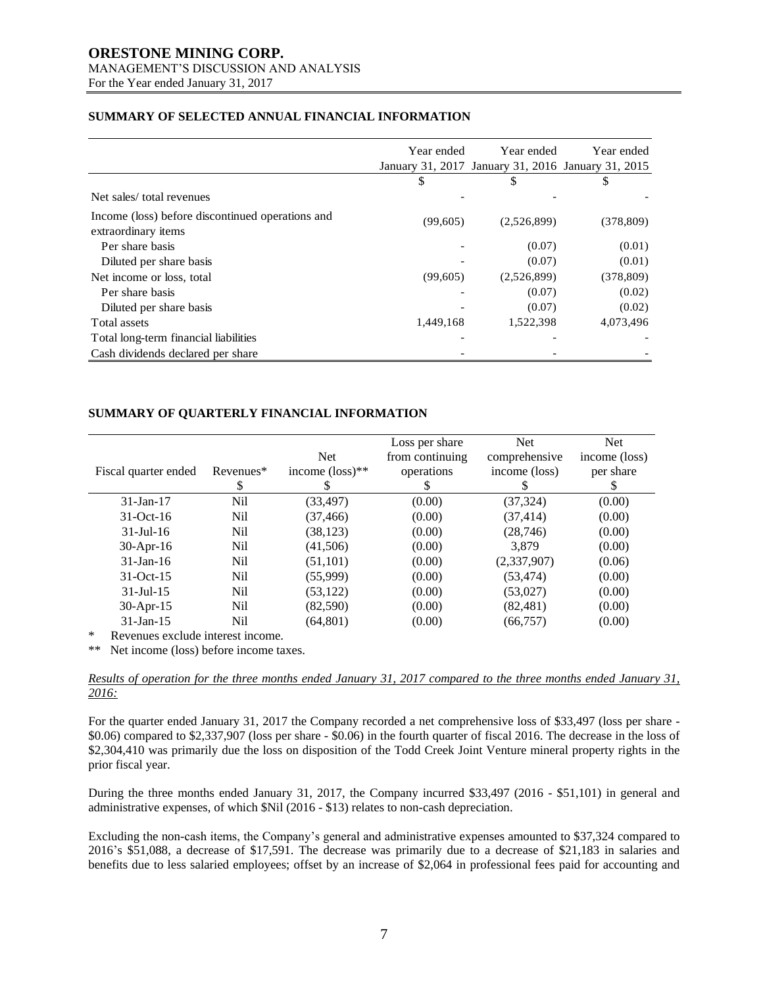## **ORESTONE MINING CORP.** MANAGEMENT'S DISCUSSION AND ANALYSIS For the Year ended January 31, 2017

# **SUMMARY OF SELECTED ANNUAL FINANCIAL INFORMATION**

|                                                                         | Year ended | Year ended<br>January 31, 2017 January 31, 2016 January 31, 2015 | Year ended |
|-------------------------------------------------------------------------|------------|------------------------------------------------------------------|------------|
|                                                                         | \$         | \$                                                               | \$         |
| Net sales/total revenues                                                |            |                                                                  |            |
| Income (loss) before discontinued operations and<br>extraordinary items | (99,605)   | (2,526,899)                                                      | (378, 809) |
| Per share basis                                                         |            | (0.07)                                                           | (0.01)     |
| Diluted per share basis                                                 |            | (0.07)                                                           | (0.01)     |
| Net income or loss, total                                               | (99,605)   | (2,526,899)                                                      | (378, 809) |
| Per share basis                                                         |            | (0.07)                                                           | (0.02)     |
| Diluted per share basis                                                 |            | (0.07)                                                           | (0.02)     |
| Total assets                                                            | 1,449,168  | 1,522,398                                                        | 4,073,496  |
| Total long-term financial liabilities                                   |            |                                                                  |            |
| Cash dividends declared per share                                       |            |                                                                  |            |

### **SUMMARY OF QUARTERLY FINANCIAL INFORMATION**

|                      |           | <b>Net</b>                  | Loss per share<br>from continuing | <b>Net</b><br>comprehensive | <b>Net</b><br>income (loss) |
|----------------------|-----------|-----------------------------|-----------------------------------|-----------------------------|-----------------------------|
| Fiscal quarter ended | Revenues* | income $(\text{loss})^{**}$ | operations                        | income (loss)               | per share                   |
|                      | Ъ         |                             | S                                 |                             | Ъ                           |
| $31$ -Jan-17         | Nil       | (33, 497)                   | (0.00)                            | (37, 324)                   | (0.00)                      |
| $31-Oct-16$          | Nil       | (37, 466)                   | (0.00)                            | (37, 414)                   | (0.00)                      |
| $31$ -Jul-16         | Nil       | (38, 123)                   | (0.00)                            | (28, 746)                   | (0.00)                      |
| $30$ -Apr-16         | Nil       | (41,506)                    | (0.00)                            | 3.879                       | (0.00)                      |
| $31$ -Jan-16         | Nil       | (51, 101)                   | (0.00)                            | (2,337,907)                 | (0.06)                      |
| $31-Oct-15$          | Nil       | (55,999)                    | (0.00)                            | (53, 474)                   | (0.00)                      |
| $31 -$ Jul $-15$     | Nil       | (53, 122)                   | (0.00)                            | (53,027)                    | (0.00)                      |
| $30$ -Apr-15         | Nil       | (82,590)                    | (0.00)                            | (82, 481)                   | (0.00)                      |
| $31$ -Jan-15         | Nil       | (64, 801)                   | (0.00)                            | (66, 757)                   | (0.00)                      |
| ÷                    |           |                             |                                   |                             |                             |

Revenues exclude interest income.

\*\* Net income (loss) before income taxes.

### *Results of operation for the three months ended January 31, 2017 compared to the three months ended January 31, 2016:*

For the quarter ended January 31, 2017 the Company recorded a net comprehensive loss of \$33,497 (loss per share - \$0.06) compared to \$2,337,907 (loss per share - \$0.06) in the fourth quarter of fiscal 2016. The decrease in the loss of \$2,304,410 was primarily due the loss on disposition of the Todd Creek Joint Venture mineral property rights in the prior fiscal year.

During the three months ended January 31, 2017, the Company incurred \$33,497 (2016 - \$51,101) in general and administrative expenses, of which \$Nil (2016 - \$13) relates to non-cash depreciation.

Excluding the non-cash items, the Company's general and administrative expenses amounted to \$37,324 compared to 2016's \$51,088, a decrease of \$17,591. The decrease was primarily due to a decrease of \$21,183 in salaries and benefits due to less salaried employees; offset by an increase of \$2,064 in professional fees paid for accounting and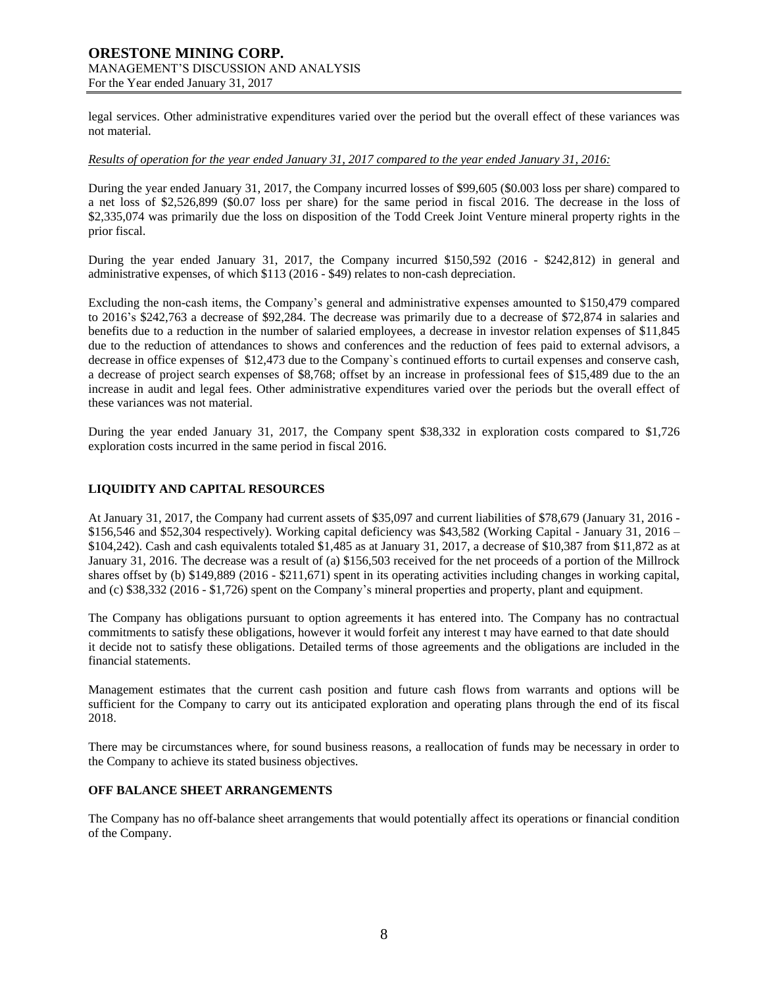## **ORESTONE MINING CORP.** MANAGEMENT'S DISCUSSION AND ANALYSIS For the Year ended January 31, 2017

legal services. Other administrative expenditures varied over the period but the overall effect of these variances was not material.

### *Results of operation for the year ended January 31, 2017 compared to the year ended January 31, 2016:*

During the year ended January 31, 2017, the Company incurred losses of \$99,605 (\$0.003 loss per share) compared to a net loss of \$2,526,899 (\$0.07 loss per share) for the same period in fiscal 2016. The decrease in the loss of \$2,335,074 was primarily due the loss on disposition of the Todd Creek Joint Venture mineral property rights in the prior fiscal.

During the year ended January 31, 2017, the Company incurred \$150,592 (2016 - \$242,812) in general and administrative expenses, of which \$113 (2016 - \$49) relates to non-cash depreciation.

Excluding the non-cash items, the Company's general and administrative expenses amounted to \$150,479 compared to 2016's \$242,763 a decrease of \$92,284. The decrease was primarily due to a decrease of \$72,874 in salaries and benefits due to a reduction in the number of salaried employees, a decrease in investor relation expenses of \$11,845 due to the reduction of attendances to shows and conferences and the reduction of fees paid to external advisors, a decrease in office expenses of \$12,473 due to the Company`s continued efforts to curtail expenses and conserve cash, a decrease of project search expenses of \$8,768; offset by an increase in professional fees of \$15,489 due to the an increase in audit and legal fees. Other administrative expenditures varied over the periods but the overall effect of these variances was not material.

During the year ended January 31, 2017, the Company spent \$38,332 in exploration costs compared to \$1,726 exploration costs incurred in the same period in fiscal 2016.

## **LIQUIDITY AND CAPITAL RESOURCES**

At January 31, 2017, the Company had current assets of \$35,097 and current liabilities of \$78,679 (January 31, 2016 - \$156,546 and \$52,304 respectively). Working capital deficiency was \$43,582 (Working Capital - January 31, 2016 – \$104,242). Cash and cash equivalents totaled \$1,485 as at January 31, 2017, a decrease of \$10,387 from \$11,872 as at January 31, 2016. The decrease was a result of (a) \$156,503 received for the net proceeds of a portion of the Millrock shares offset by (b) \$149,889 (2016 - \$211,671) spent in its operating activities including changes in working capital, and (c) \$38,332 (2016 - \$1,726) spent on the Company's mineral properties and property, plant and equipment.

The Company has obligations pursuant to option agreements it has entered into. The Company has no contractual commitments to satisfy these obligations, however it would forfeit any interest t may have earned to that date should it decide not to satisfy these obligations. Detailed terms of those agreements and the obligations are included in the financial statements.

Management estimates that the current cash position and future cash flows from warrants and options will be sufficient for the Company to carry out its anticipated exploration and operating plans through the end of its fiscal 2018.

There may be circumstances where, for sound business reasons, a reallocation of funds may be necessary in order to the Company to achieve its stated business objectives.

## **OFF BALANCE SHEET ARRANGEMENTS**

The Company has no off-balance sheet arrangements that would potentially affect its operations or financial condition of the Company.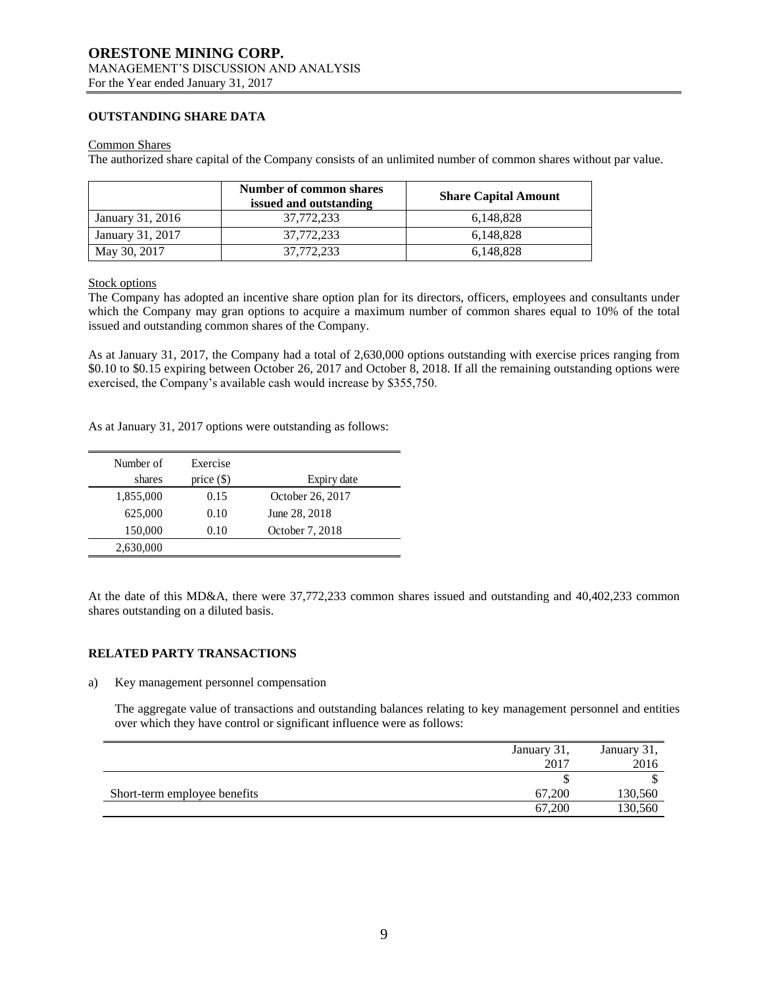## **OUTSTANDING SHARE DATA**

### Common Shares

The authorized share capital of the Company consists of an unlimited number of common shares without par value.

|                  | Number of common shares<br>issued and outstanding | <b>Share Capital Amount</b> |
|------------------|---------------------------------------------------|-----------------------------|
| January 31, 2016 | 37.772.233                                        | 6,148,828                   |
| January 31, 2017 | 37,772,233                                        | 6,148,828                   |
| May 30, 2017     | 37,772,233                                        | 6,148,828                   |

### Stock options

The Company has adopted an incentive share option plan for its directors, officers, employees and consultants under which the Company may gran options to acquire a maximum number of common shares equal to 10% of the total issued and outstanding common shares of the Company.

As at January 31, 2017, the Company had a total of 2,630,000 options outstanding with exercise prices ranging from \$0.10 to \$0.15 expiring between October 26, 2017 and October 8, 2018. If all the remaining outstanding options were exercised, the Company's available cash would increase by \$355,750.

As at January 31, 2017 options were outstanding as follows:

| Number of<br>shares | Exercise<br>price $(\$)$ | Expiry date      |
|---------------------|--------------------------|------------------|
|                     |                          |                  |
| 1,855,000           | 0.15                     | October 26, 2017 |
| 625,000             | 0.10                     | June 28, 2018    |
| 150,000             | 0.10                     | October 7, 2018  |
| 2,630,000           |                          |                  |

At the date of this MD&A, there were 37,772,233 common shares issued and outstanding and 40,402,233 common shares outstanding on a diluted basis.

## **RELATED PARTY TRANSACTIONS**

a) Key management personnel compensation

The aggregate value of transactions and outstanding balances relating to key management personnel and entities over which they have control or significant influence were as follows:

|                              | January 31, | January 31, |
|------------------------------|-------------|-------------|
|                              | 2017        | 2016        |
|                              |             |             |
| Short-term employee benefits | 67,200      | 130,560     |
|                              | 67,200      | 130,560     |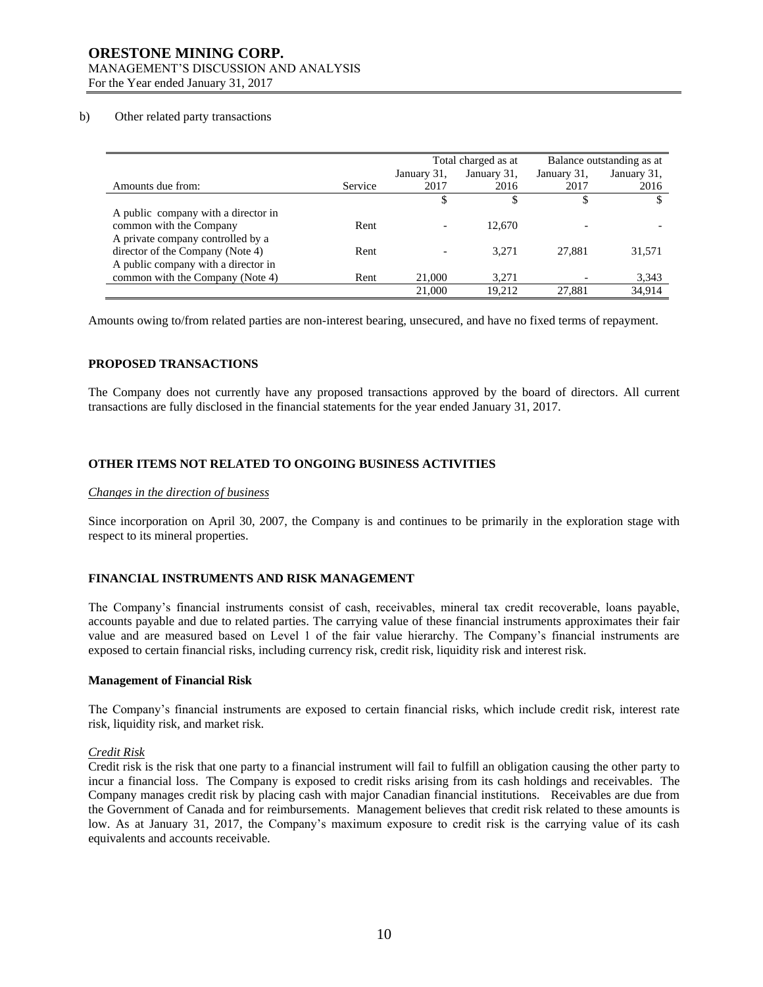## **ORESTONE MINING CORP.** MANAGEMENT'S DISCUSSION AND ANALYSIS

For the Year ended January 31, 2017

### b) Other related party transactions

|                                     |         | Total charged as at |             | Balance outstanding as at |             |
|-------------------------------------|---------|---------------------|-------------|---------------------------|-------------|
|                                     |         | January 31,         | January 31, | January 31,               | January 31, |
| Amounts due from:                   | Service | 2017                | 2016        | 2017                      | 2016        |
|                                     |         |                     | \$          |                           | S           |
| A public company with a director in |         |                     |             |                           |             |
| common with the Company             | Rent    |                     | 12.670      |                           |             |
| A private company controlled by a   |         |                     |             |                           |             |
| director of the Company (Note 4)    | Rent    |                     | 3.271       | 27,881                    | 31,571      |
| A public company with a director in |         |                     |             |                           |             |
| common with the Company (Note 4)    | Rent    | 21,000              | 3.271       |                           | 3,343       |
|                                     |         | 21,000              | 19.212      | 27,881                    | 34,914      |

Amounts owing to/from related parties are non-interest bearing, unsecured, and have no fixed terms of repayment.

### **PROPOSED TRANSACTIONS**

The Company does not currently have any proposed transactions approved by the board of directors. All current transactions are fully disclosed in the financial statements for the year ended January 31, 2017.

### **OTHER ITEMS NOT RELATED TO ONGOING BUSINESS ACTIVITIES**

#### *Changes in the direction of business*

Since incorporation on April 30, 2007, the Company is and continues to be primarily in the exploration stage with respect to its mineral properties.

### **FINANCIAL INSTRUMENTS AND RISK MANAGEMENT**

The Company's financial instruments consist of cash, receivables, mineral tax credit recoverable, loans payable, accounts payable and due to related parties. The carrying value of these financial instruments approximates their fair value and are measured based on Level 1 of the fair value hierarchy. The Company's financial instruments are exposed to certain financial risks, including currency risk, credit risk, liquidity risk and interest risk.

#### **Management of Financial Risk**

The Company's financial instruments are exposed to certain financial risks, which include credit risk, interest rate risk, liquidity risk, and market risk.

### *Credit Risk*

Credit risk is the risk that one party to a financial instrument will fail to fulfill an obligation causing the other party to incur a financial loss. The Company is exposed to credit risks arising from its cash holdings and receivables. The Company manages credit risk by placing cash with major Canadian financial institutions. Receivables are due from the Government of Canada and for reimbursements. Management believes that credit risk related to these amounts is low. As at January 31, 2017, the Company's maximum exposure to credit risk is the carrying value of its cash equivalents and accounts receivable.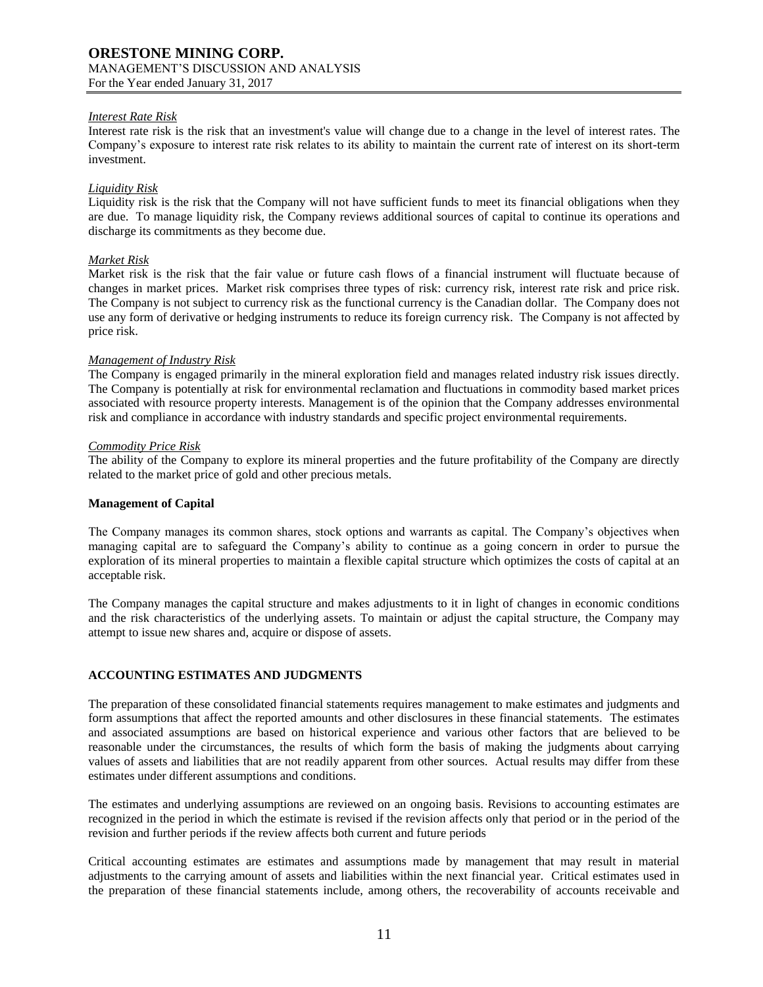## *Interest Rate Risk*

Interest rate risk is the risk that an investment's value will change due to a change in the level of interest rates. The Company's exposure to interest rate risk relates to its ability to maintain the current rate of interest on its short-term investment.

### *Liquidity Risk*

Liquidity risk is the risk that the Company will not have sufficient funds to meet its financial obligations when they are due. To manage liquidity risk, the Company reviews additional sources of capital to continue its operations and discharge its commitments as they become due.

### *Market Risk*

Market risk is the risk that the fair value or future cash flows of a financial instrument will fluctuate because of changes in market prices. Market risk comprises three types of risk: currency risk, interest rate risk and price risk. The Company is not subject to currency risk as the functional currency is the Canadian dollar. The Company does not use any form of derivative or hedging instruments to reduce its foreign currency risk. The Company is not affected by price risk.

### *Management of Industry Risk*

The Company is engaged primarily in the mineral exploration field and manages related industry risk issues directly. The Company is potentially at risk for environmental reclamation and fluctuations in commodity based market prices associated with resource property interests. Management is of the opinion that the Company addresses environmental risk and compliance in accordance with industry standards and specific project environmental requirements.

### *Commodity Price Risk*

The ability of the Company to explore its mineral properties and the future profitability of the Company are directly related to the market price of gold and other precious metals.

### **Management of Capital**

The Company manages its common shares, stock options and warrants as capital. The Company's objectives when managing capital are to safeguard the Company's ability to continue as a going concern in order to pursue the exploration of its mineral properties to maintain a flexible capital structure which optimizes the costs of capital at an acceptable risk.

The Company manages the capital structure and makes adjustments to it in light of changes in economic conditions and the risk characteristics of the underlying assets. To maintain or adjust the capital structure, the Company may attempt to issue new shares and, acquire or dispose of assets.

## **ACCOUNTING ESTIMATES AND JUDGMENTS**

The preparation of these consolidated financial statements requires management to make estimates and judgments and form assumptions that affect the reported amounts and other disclosures in these financial statements. The estimates and associated assumptions are based on historical experience and various other factors that are believed to be reasonable under the circumstances, the results of which form the basis of making the judgments about carrying values of assets and liabilities that are not readily apparent from other sources. Actual results may differ from these estimates under different assumptions and conditions.

The estimates and underlying assumptions are reviewed on an ongoing basis. Revisions to accounting estimates are recognized in the period in which the estimate is revised if the revision affects only that period or in the period of the revision and further periods if the review affects both current and future periods

Critical accounting estimates are estimates and assumptions made by management that may result in material adjustments to the carrying amount of assets and liabilities within the next financial year. Critical estimates used in the preparation of these financial statements include, among others, the recoverability of accounts receivable and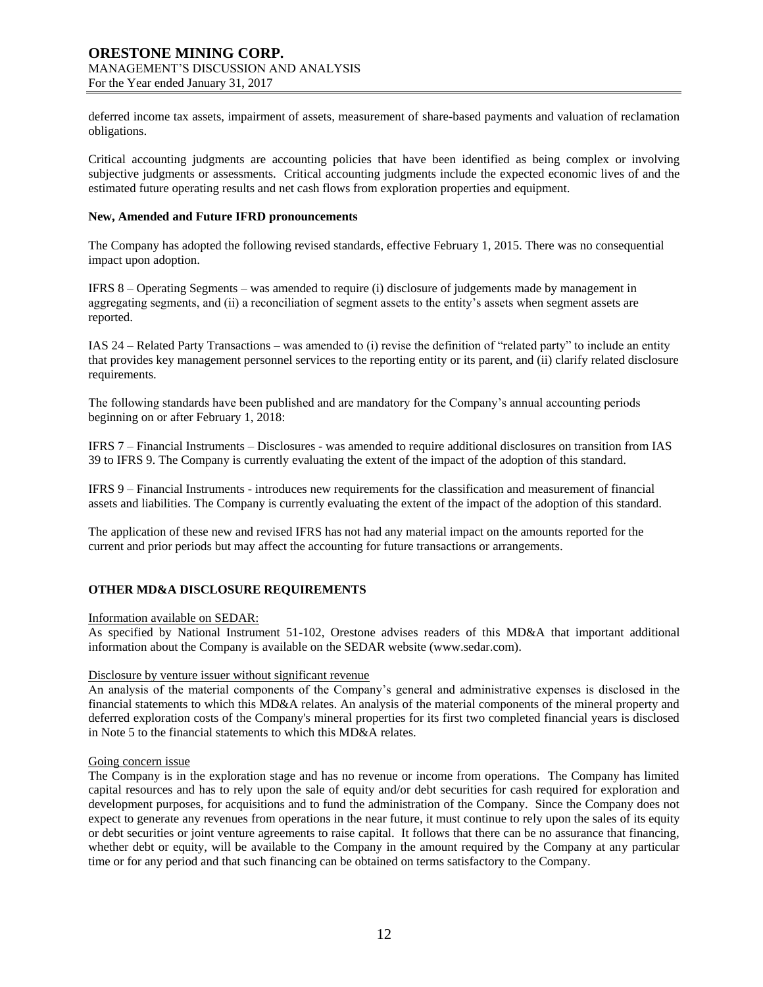deferred income tax assets, impairment of assets, measurement of share-based payments and valuation of reclamation obligations.

Critical accounting judgments are accounting policies that have been identified as being complex or involving subjective judgments or assessments. Critical accounting judgments include the expected economic lives of and the estimated future operating results and net cash flows from exploration properties and equipment.

### **New, Amended and Future IFRD pronouncements**

The Company has adopted the following revised standards, effective February 1, 2015. There was no consequential impact upon adoption.

IFRS 8 – Operating Segments – was amended to require (i) disclosure of judgements made by management in aggregating segments, and (ii) a reconciliation of segment assets to the entity's assets when segment assets are reported.

IAS 24 – Related Party Transactions – was amended to (i) revise the definition of "related party" to include an entity that provides key management personnel services to the reporting entity or its parent, and (ii) clarify related disclosure requirements.

The following standards have been published and are mandatory for the Company's annual accounting periods beginning on or after February 1, 2018:

IFRS 7 – Financial Instruments – Disclosures - was amended to require additional disclosures on transition from IAS 39 to IFRS 9. The Company is currently evaluating the extent of the impact of the adoption of this standard.

IFRS 9 – Financial Instruments - introduces new requirements for the classification and measurement of financial assets and liabilities. The Company is currently evaluating the extent of the impact of the adoption of this standard.

The application of these new and revised IFRS has not had any material impact on the amounts reported for the current and prior periods but may affect the accounting for future transactions or arrangements.

## **OTHER MD&A DISCLOSURE REQUIREMENTS**

### Information available on SEDAR:

As specified by National Instrument 51-102, Orestone advises readers of this MD&A that important additional information about the Company is available on the SEDAR website (www.sedar.com).

### Disclosure by venture issuer without significant revenue

An analysis of the material components of the Company's general and administrative expenses is disclosed in the financial statements to which this MD&A relates. An analysis of the material components of the mineral property and deferred exploration costs of the Company's mineral properties for its first two completed financial years is disclosed in Note 5 to the financial statements to which this MD&A relates.

### Going concern issue

The Company is in the exploration stage and has no revenue or income from operations. The Company has limited capital resources and has to rely upon the sale of equity and/or debt securities for cash required for exploration and development purposes, for acquisitions and to fund the administration of the Company. Since the Company does not expect to generate any revenues from operations in the near future, it must continue to rely upon the sales of its equity or debt securities or joint venture agreements to raise capital. It follows that there can be no assurance that financing, whether debt or equity, will be available to the Company in the amount required by the Company at any particular time or for any period and that such financing can be obtained on terms satisfactory to the Company.